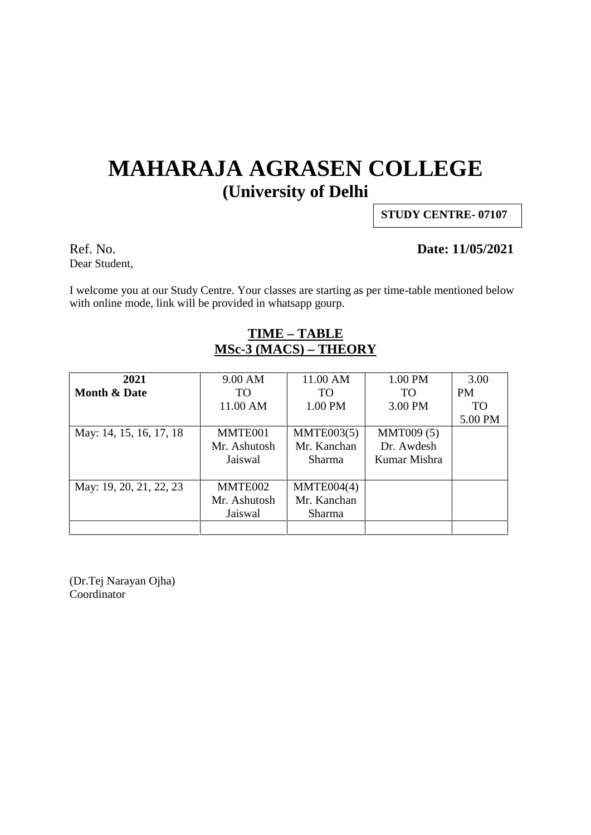# **MAHARAJA AGRASEN COLLEGE (University of Delhi**

**STUDY CENTRE- 07107**

Dear Student,

#### Ref. No. **Date: 11/05/2021**

I welcome you at our Study Centre. Your classes are starting as per time-table mentioned below with online mode, link will be provided in whatsapp gourp.

### **TIME – TABLE MSc-3 (MACS) – THEORY**

| 2021                    | 9.00 AM      | 11.00 AM    | 1.00 PM           | 3.00      |
|-------------------------|--------------|-------------|-------------------|-----------|
| <b>Month &amp; Date</b> | TO           | TO          | TO <sub>1</sub>   | <b>PM</b> |
|                         | 11.00 AM     | 1.00 PM     | 3.00 PM           | <b>TO</b> |
|                         |              |             |                   | 5.00 PM   |
| May: 14, 15, 16, 17, 18 | MMTE001      | MMTE003(5)  | <b>MMT009 (5)</b> |           |
|                         | Mr. Ashutosh | Mr. Kanchan | Dr. Awdesh        |           |
|                         | Jaiswal      | Sharma      | Kumar Mishra      |           |
|                         |              |             |                   |           |
| May: 19, 20, 21, 22, 23 | MMTE002      | MMTE004(4)  |                   |           |
|                         | Mr. Ashutosh | Mr. Kanchan |                   |           |
|                         | Jaiswal      | Sharma      |                   |           |
|                         |              |             |                   |           |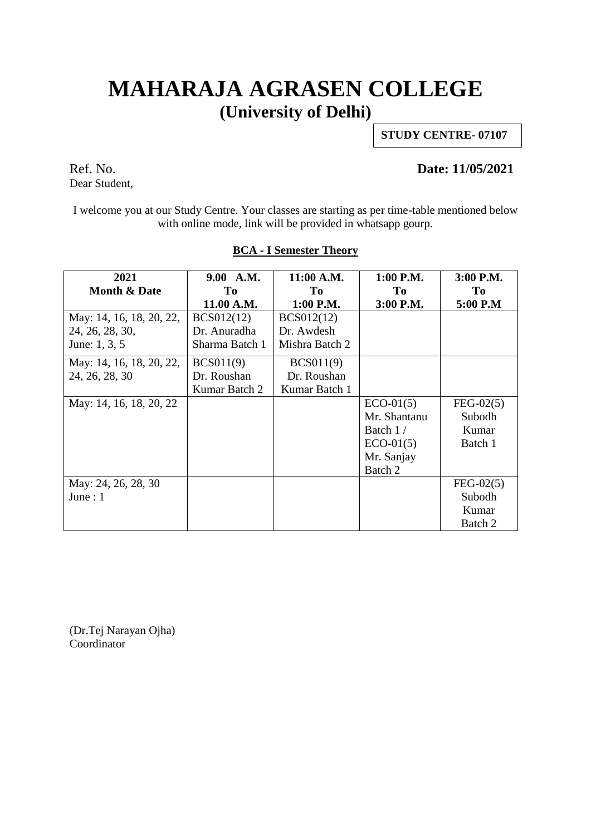### **MAHARAJA AGRASEN COLLEGE (University of Delhi)**

**STUDY CENTRE- 07107**

Ref. No. **Date: 11/05/2021**

Dear Student,

I welcome you at our Study Centre. Your classes are starting as per time-table mentioned below with online mode, link will be provided in whatsapp gourp.

| 2021                     | 9.00 A.M.         | 11:00 A.M.        | 1:00 P.M.    | 3:00 P.M.   |
|--------------------------|-------------------|-------------------|--------------|-------------|
| <b>Month &amp; Date</b>  | To                | To                | To           | To          |
|                          | 11.00 A.M.        | 1:00 P.M.         | 3:00 P.M.    | 5:00 P.M    |
| May: 14, 16, 18, 20, 22, | <b>BCS012(12)</b> | <b>BCS012(12)</b> |              |             |
| 24, 26, 28, 30,          | Dr. Anuradha      | Dr. Awdesh        |              |             |
| June: 1, 3, 5            | Sharma Batch 1    | Mishra Batch 2    |              |             |
| May: 14, 16, 18, 20, 22, | BCS011(9)         | BCS011(9)         |              |             |
| 24, 26, 28, 30           | Dr. Roushan       | Dr. Roushan       |              |             |
|                          | Kumar Batch 2     | Kumar Batch 1     |              |             |
| May: 14, 16, 18, 20, 22  |                   |                   | $ECO-01(5)$  | $FEG-02(5)$ |
|                          |                   |                   | Mr. Shantanu | Subodh      |
|                          |                   |                   | Batch 1/     | Kumar       |
|                          |                   |                   | $ECO-01(5)$  | Batch 1     |
|                          |                   |                   | Mr. Sanjay   |             |
|                          |                   |                   | Batch 2      |             |
| May: 24, 26, 28, 30      |                   |                   |              | $FEG-02(5)$ |
| June : $1$               |                   |                   |              | Subodh      |
|                          |                   |                   |              | Kumar       |
|                          |                   |                   |              | Batch 2     |

#### **BCA - I Semester Theory**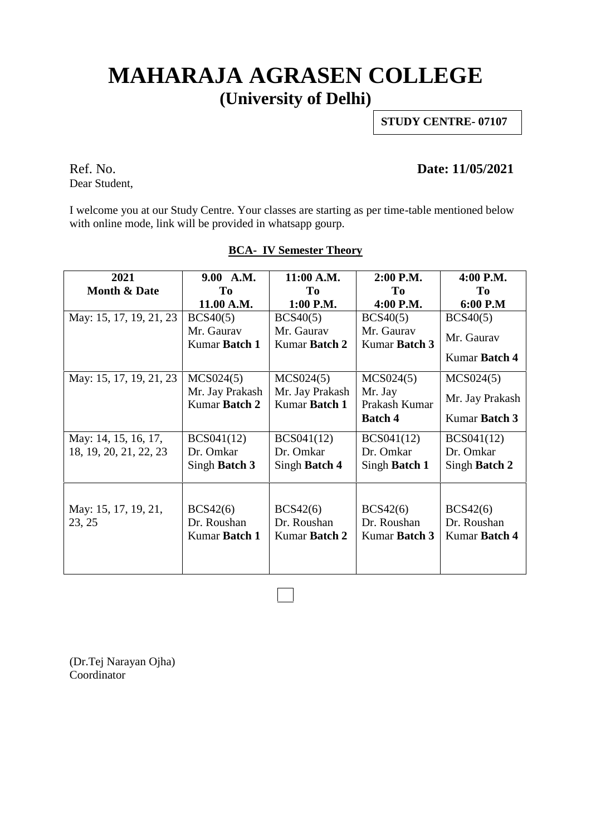# **MAHARAJA AGRASEN COLLEGE (University of Delhi)**

**STUDY CENTRE- 07107**

Dear Student,

### Ref. No. **Date: 11/05/2021**

I welcome you at our Study Centre. Your classes are starting as per time-table mentioned below with online mode, link will be provided in whatsapp gourp.

| <b>Month &amp; Date</b><br>T <sub>0</sub><br>Tо<br>To<br>To                                                         |  |
|---------------------------------------------------------------------------------------------------------------------|--|
|                                                                                                                     |  |
| 11.00 A.M.<br>1:00 P.M.<br>4:00 P.M.<br>6:00 P.M                                                                    |  |
| May: 15, 17, 19, 21, 23<br>BCS40(5)<br>BCS40(5)<br>BCS40(5)<br>BCS40(5)                                             |  |
| Mr. Gaurav<br>Mr. Gaurav<br>Mr. Gaurav<br>Mr. Gaurav                                                                |  |
| Kumar Batch 1<br>Kumar Batch 2<br>Kumar Batch 3                                                                     |  |
| Kumar Batch 4                                                                                                       |  |
| May: 15, 17, 19, 21, 23<br>MCS024(5)<br>MCS024(5)<br>MCS024(5)<br>MCS024(5)                                         |  |
| Mr. Jay Prakash<br>Mr. Jay Prakash<br>Mr. Jay<br>Mr. Jay Prakash<br>Kumar Batch 2<br>Kumar Batch 1<br>Prakash Kumar |  |
| Kumar Batch 3<br><b>Batch 4</b>                                                                                     |  |
| May: 14, 15, 16, 17,<br>BCS041(12)<br>BCS041(12)<br>BCS041(12)<br><b>BCS041(12)</b>                                 |  |
| 18, 19, 20, 21, 22, 23<br>Dr. Omkar<br>Dr. Omkar<br>Dr. Omkar<br>Dr. Omkar                                          |  |
| Singh Batch 3<br>Singh Batch 4<br>Singh Batch 1<br>Singh Batch 2                                                    |  |
|                                                                                                                     |  |
| May: 15, 17, 19, 21,<br>BCS42(6)<br>BCS42(6)<br>BCS42(6)<br>BCS42(6)                                                |  |
| Dr. Roushan<br>Dr. Roushan<br>Dr. Roushan<br>Dr. Roushan<br>23, 25                                                  |  |
| Kumar Batch 1<br>Kumar Batch 2<br>Kumar Batch 3<br>Kumar Batch 4                                                    |  |
|                                                                                                                     |  |
|                                                                                                                     |  |

#### **BCA- IV Semester Theory**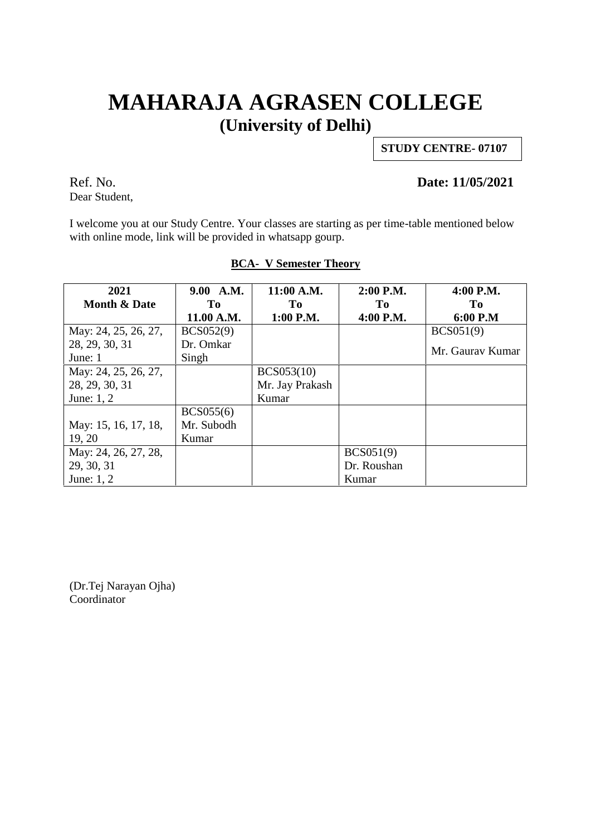# **MAHARAJA AGRASEN COLLEGE (University of Delhi)**

**STUDY CENTRE- 07107**

Dear Student,

### Ref. No. **Date: 11/05/2021**

I welcome you at our Study Centre. Your classes are starting as per time-table mentioned below with online mode, link will be provided in whatsapp gourp.

| 2021                    | 9.00 A.M.  | 11:00 A.M.        | 2:00 P.M.   | 4:00 P.M.        |  |
|-------------------------|------------|-------------------|-------------|------------------|--|
| <b>Month &amp; Date</b> | Tо         | To                | To          | Tо               |  |
|                         | 11.00 A.M. | 1:00 P.M.         | 4:00 P.M.   | 6:00 P.M         |  |
| May: 24, 25, 26, 27,    | BCS052(9)  |                   |             | BCS051(9)        |  |
| 28, 29, 30, 31          | Dr. Omkar  |                   |             | Mr. Gaurav Kumar |  |
| June: 1                 | Singh      |                   |             |                  |  |
| May: 24, 25, 26, 27,    |            | <b>BCS053(10)</b> |             |                  |  |
| 28, 29, 30, 31          |            | Mr. Jay Prakash   |             |                  |  |
| June: 1, 2              |            | Kumar             |             |                  |  |
|                         | BCS055(6)  |                   |             |                  |  |
| May: 15, 16, 17, 18,    | Mr. Subodh |                   |             |                  |  |
| 19, 20                  | Kumar      |                   |             |                  |  |
| May: 24, 26, 27, 28,    |            |                   | BCS051(9)   |                  |  |
| 29, 30, 31              |            |                   | Dr. Roushan |                  |  |
| June: 1, 2              |            |                   | Kumar       |                  |  |

#### **BCA- V Semester Theory**